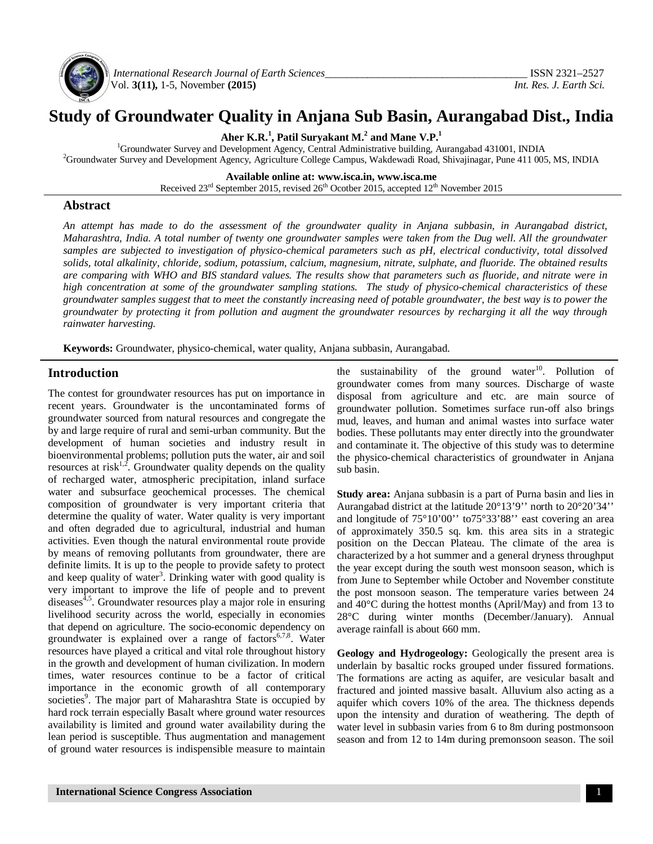

*International Research Journal of Earth Sciences\_\_\_\_\_\_\_\_\_\_\_\_\_\_\_\_\_\_\_\_\_\_\_\_\_\_\_\_\_\_\_\_\_\_\_\_\_\_* ISSN 2321–2527 Vol. **3(11),** 1-5, November **(2015)** *Int. Res. J. Earth Sci.*

# **Study of Groundwater Quality in Anjana Sub Basin, Aurangabad Dist., India**

**Aher K.R.<sup>1</sup> , Patil Suryakant M.<sup>2</sup> and Mane V.P.<sup>1</sup>**

<sup>1</sup>Groundwater Survey and Development Agency, Central Administrative building, Aurangabad 431001, INDIA <sup>2</sup>Groundwater Survey and Development Agency, Agriculture College Campus, Wakdewadi Road, Shivajinagar, Pune 411 005, MS, INDIA

**Available online at: [www.isca.in,](http://www.isca.in,) [www.isca.me](http://www.isca.me)**

Received  $23<sup>rd</sup>$  September 2015, revised  $26<sup>th</sup>$  Ocotber 2015, accepted  $12<sup>th</sup>$  November 2015

### **Abstract**

An attempt has made to do the assessment of the groundwater quality in Anjana subbasin, in Aurangabad district, Maharashtra, India. A total number of twenty one groundwater samples were taken from the Dug well. All the groundwater samples are subjected to investigation of physico-chemical parameters such as pH, electrical conductivity, total dissolved solids, total alkalinity, chloride, sodium, potassium, calcium, magnesium, nitrate, sulphate, and fluoride. The obtained results are comparing with WHO and BIS standard values. The results show that parameters such as fluoride, and nitrate were in *high concentration at some of the groundwater sampling stations. The study of physico-chemical characteristics of these* groundwater samples suggest that to meet the constantly increasing need of potable groundwater, the best way is to power the groundwater by protecting it from pollution and augment the groundwater resources by recharging it all the way through *rainwater harvesting.*

**Keywords:** Groundwater, physico-chemical, water quality, Anjana subbasin, Aurangabad.

## **Introduction**

The contest for groundwater resources has put on importance in recent years. Groundwater is the uncontaminated forms of groundwater sourced from natural resources and congregate the by and large require of rural and semi-urban community. But the development of human societies and industry result in bioenvironmental problems; pollution puts the water, air and soil resources at risk<sup>1,2</sup>. Groundwater quality depends on the quality of recharged water, atmospheric precipitation, inland surface water and subsurface geochemical processes. The chemical composition of groundwater is very important criteria that determine the quality of water. Water quality is very important and often degraded due to agricultural, industrial and human activities. Even though the natural environmental route provide by means of removing pollutants from groundwater, there are definite limits. It is up to the people to provide safety to protect and keep quality of water<sup>3</sup>. Drinking water with good quality is very important to improve the life of people and to prevent diseases<sup>4,5</sup>. Groundwater resources play a major role in ensuring livelihood security across the world, especially in economies that depend on agriculture. The socio-economic dependency on groundwater is explained over a range of factors<sup>6,7,8</sup>. Water resources have played a critical and vital role throughout history in the growth and development of human civilization. In modern times, water resources continue to be a factor of critical importance in the economic growth of all contemporary societies<sup>9</sup>. The major part of Maharashtra State is occupied by hard rock terrain especially Basalt where ground water resources availability is limited and ground water availability during the lean period is susceptible. Thus augmentation and management of ground water resources is indispensible measure to maintain

the sustainability of the ground water<sup>10</sup>. Pollution of groundwater comes from many sources. Discharge of waste disposal from agriculture and etc. are main source of groundwater pollution. Sometimes surface run-off also brings mud, leaves, and human and animal wastes into surface water bodies. These pollutants may enter directly into the groundwater and contaminate it. The objective of this study was to determine the physico-chemical characteristics of groundwater in Anjana sub basin.

**Study area:** Anjana subbasin is a part of Purna basin and lies in Aurangabad district at the latitude 20°13'9'' north to 20°20'34'' and longitude of 75°10'00'' to75°33'88'' east covering an area of approximately 350.5 sq. km. this area sits in a strategic position on the Deccan Plateau. The climate of the area is characterized by a hot summer and a general dryness throughput the year except during the south west monsoon season, which is from June to September while October and November constitute the post monsoon season. The temperature varies between 24 and 40°C during the hottest months (April/May) and from 13 to 28°C during winter months (December/January). Annual average rainfall is about 660 mm.

**Geology and Hydrogeology:** Geologically the present area is underlain by basaltic rocks grouped under fissured formations. The formations are acting as aquifer, are vesicular basalt and fractured and jointed massive basalt. Alluvium also acting as a aquifer which covers 10% of the area. The thickness depends upon the intensity and duration of weathering. The depth of water level in subbasin varies from 6 to 8m during postmonsoon season and from 12 to 14m during premonsoon season. The soil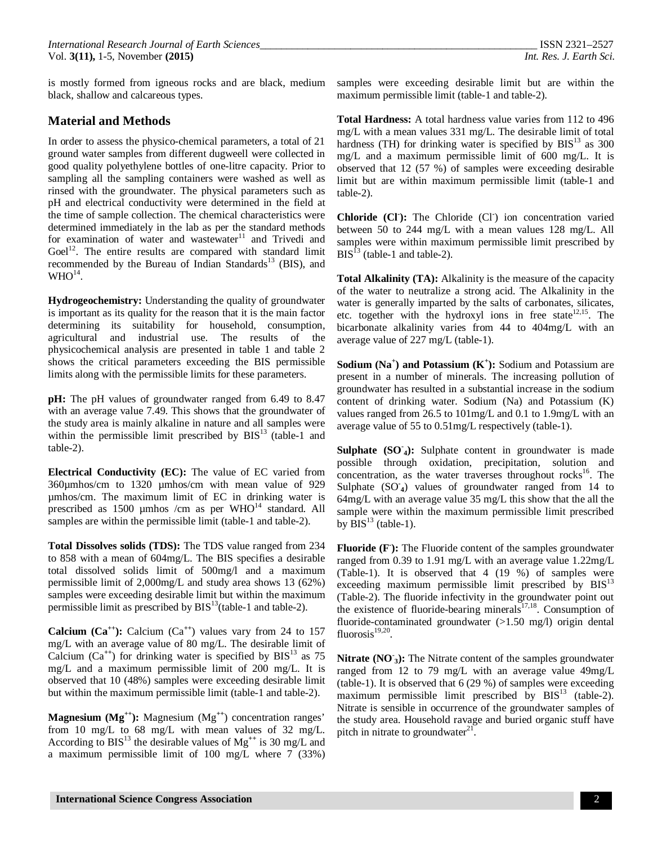is mostly formed from igneous rocks and are black, medium black, shallow and calcareous types.

## **Material and Methods**

In order to assess the physico-chemical parameters, a total of 21 ground water samples from different dugweell were collected in good quality polyethylene bottles of one-litre capacity. Prior to sampling all the sampling containers were washed as well as rinsed with the groundwater. The physical parameters such as pH and electrical conductivity were determined in the field at the time of sample collection. The chemical characteristics were determined immediately in the lab as per the standard methods for examination of water and wastewater $11$  and Trivedi and Goel $12$ . The entire results are compared with standard limit recommended by the Bureau of Indian Standards<sup>13</sup> (BIS), and  $\rm WHO^{14}.$ 

**Hydrogeochemistry:** Understanding the quality of groundwater is important as its quality for the reason that it is the main factor determining its suitability for household, consumption, agricultural and industrial use. The results of the physicochemical analysis are presented in table 1 and table 2 shows the critical parameters exceeding the BIS permissible limits along with the permissible limits for these parameters.

**pH:** The pH values of groundwater ranged from 6.49 to 8.47 with an average value 7.49. This shows that the groundwater of the study area is mainly alkaline in nature and all samples were within the permissible limit prescribed by  $BIS<sup>13</sup>$  (table-1 and table-2).

**Electrical Conductivity (EC):** The value of EC varied from 360µmhos/cm to 1320 µmhos/cm with mean value of 929 µmhos/cm. The maximum limit of EC in drinking water is prescribed as  $1500 \mu m$ hos /cm as per WHO<sup>14</sup> standard. All samples are within the permissible limit (table-1 and table-2).

**Total Dissolves solids (TDS):** The TDS value ranged from 234 to 858 with a mean of 604mg/L. The BIS specifies a desirable total dissolved solids limit of 500mg/l and a maximum permissible limit of 2,000mg/L and study area shows 13 (62%) samples were exceeding desirable limit but within the maximum permissible limit as prescribed by  $BIS<sup>13</sup>$  (table-1 and table-2).

**Calcium** ( $Ca^{++}$ ): Calcium ( $Ca^{++}$ ) values vary from 24 to 157 mg/L with an average value of 80 mg/L. The desirable limit of Calcium  $(Ca^{++})$  for drinking water is specified by  $BIS<sup>13</sup>$  as 75 mg/L and a maximum permissible limit of 200 mg/L. It is observed that 10 (48%) samples were exceeding desirable limit but within the maximum permissible limit (table-1 and table-2).

**Magnesium (Mg++):** Magnesium (Mg**++**) concentration ranges' from 10 mg/L to 68 mg/L with mean values of 32 mg/L. According to  $BIS<sup>13</sup>$  the desirable values of Mg<sup>++</sup> is 30 mg/L and a maximum permissible limit of 100 mg/L where 7 (33%) samples were exceeding desirable limit but are within the maximum permissible limit (table-1 and table-2).

**Total Hardness:** A total hardness value varies from 112 to 496 mg/L with a mean values 331 mg/L. The desirable limit of total hardness (TH) for drinking water is specified by  $BIS<sup>13</sup>$  as 300 mg/L and a maximum permissible limit of 600 mg/L. It is observed that 12 (57 %) of samples were exceeding desirable limit but are within maximum permissible limit (table-1 and table-2).

**Chloride (Cl- ):** The Chloride (Cl**-** ) ion concentration varied between 50 to 244 mg/L with a mean values 128 mg/L. All samples were within maximum permissible limit prescribed by  $BIS<sup>13</sup>$  (table-1 and table-2).

**Total Alkalinity (TA):** Alkalinity is the measure of the capacity of the water to neutralize a strong acid. The Alkalinity in the water is generally imparted by the salts of carbonates, silicates, etc. together with the hydroxyl ions in free state $^{12,15}$ . The bicarbonate alkalinity varies from 44 to 404mg/L with an average value of 227 mg/L (table-1).

**Sodium (Na<sup>+</sup> ) and Potassium (K<sup>+</sup> ):** Sodium and Potassium are present in a number of minerals. The increasing pollution of groundwater has resulted in a substantial increase in the sodium content of drinking water. Sodium (Na) and Potassium (K) values ranged from 26.5 to 101mg/L and 0.1 to 1.9mg/L with an average value of 55 to 0.51mg/L respectively (table-1).

**Sulphate (SO-<sup>4</sup>):** Sulphate content in groundwater is made possible through oxidation, precipitation, solution and concentration, as the water traverses throughout  $rocks<sup>16</sup>$ . The Sulphate (SO<sub>4</sub>) values of groundwater ranged from 14 to 64mg/L with an average value 35 mg/L this show that the all the sample were within the maximum permissible limit prescribed by  $\overline{B}IS^{13}$  (table-1).

**Fluoride (F- ):** The Fluoride content of the samples groundwater ranged from 0.39 to 1.91 mg/L with an average value 1.22mg/L (Table-1). It is observed that 4 (19 %) of samples were exceeding maximum permissible limit prescribed by  $BIS<sup>13</sup>$ (Table-2). The fluoride infectivity in the groundwater point out the existence of fluoride-bearing minerals $17,18$ . Consumption of fluoride-contaminated groundwater (>1.50 mg/l) origin dental fluorosis $19,20$ .

**Nitrate (NO-<sup>3</sup>):** The Nitrate content of the samples groundwater ranged from 12 to 79 mg/L with an average value 49mg/L (table-1). It is observed that 6 (29 %) of samples were exceeding maximum permissible limit prescribed by  $BIS<sup>13</sup>$  (table-2). Nitrate is sensible in occurrence of the groundwater samples of the study area. Household ravage and buried organic stuff have pitch in nitrate to groundwater $21$ .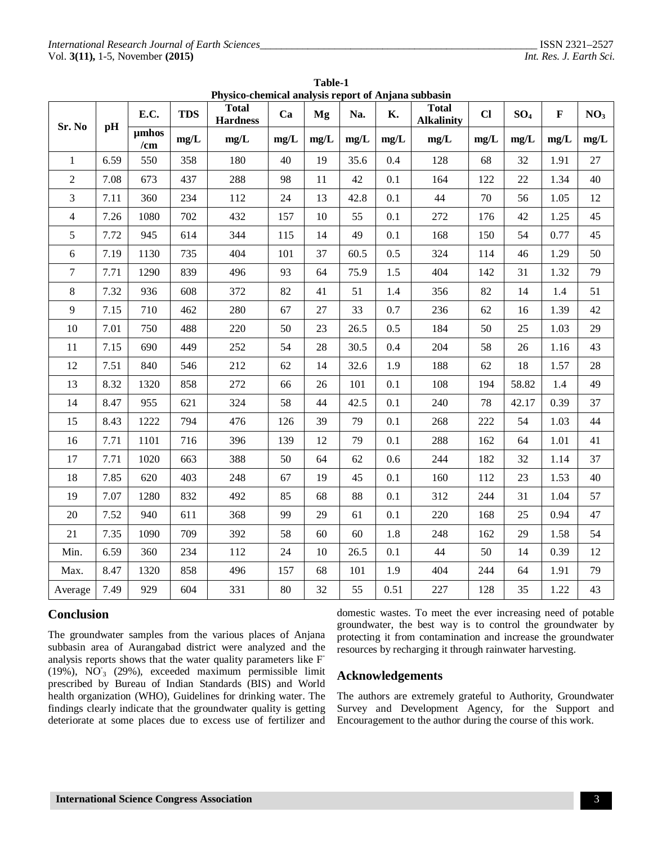|                | Physico-chemical analysis report of Anjana subbasin |              |            |                                 |      |      |      |      |                                   |      |                 |             |                 |
|----------------|-----------------------------------------------------|--------------|------------|---------------------------------|------|------|------|------|-----------------------------------|------|-----------------|-------------|-----------------|
| Sr. No         | pH                                                  | E.C.         | <b>TDS</b> | <b>Total</b><br><b>Hardness</b> | Ca   | Mg   | Na.  | K.   | <b>Total</b><br><b>Alkalinity</b> | $CI$ | SO <sub>4</sub> | $\mathbf F$ | NO <sub>3</sub> |
|                |                                                     | umhos<br>/cm | mg/L       | mg/L                            | mg/L | mg/L | mg/L | mg/L | mg/L                              | mg/L | mg/L            | mg/L        | mg/L            |
| $\mathbf{1}$   | 6.59                                                | 550          | 358        | 180                             | 40   | 19   | 35.6 | 0.4  | 128                               | 68   | 32              | 1.91        | 27              |
| $\overline{2}$ | 7.08                                                | 673          | 437        | 288                             | 98   | 11   | 42   | 0.1  | 164                               | 122  | 22              | 1.34        | 40              |
| 3              | 7.11                                                | 360          | 234        | 112                             | 24   | 13   | 42.8 | 0.1  | 44                                | 70   | 56              | 1.05        | 12              |
| $\overline{4}$ | 7.26                                                | 1080         | 702        | 432                             | 157  | 10   | 55   | 0.1  | 272                               | 176  | 42              | 1.25        | 45              |
| 5              | 7.72                                                | 945          | 614        | 344                             | 115  | 14   | 49   | 0.1  | 168                               | 150  | 54              | 0.77        | 45              |
| $6\,$          | 7.19                                                | 1130         | 735        | 404                             | 101  | 37   | 60.5 | 0.5  | 324                               | 114  | 46              | 1.29        | 50              |
| $\overline{7}$ | 7.71                                                | 1290         | 839        | 496                             | 93   | 64   | 75.9 | 1.5  | 404                               | 142  | 31              | 1.32        | 79              |
| $8\,$          | 7.32                                                | 936          | 608        | 372                             | 82   | 41   | 51   | 1.4  | 356                               | 82   | 14              | 1.4         | 51              |
| 9              | 7.15                                                | 710          | 462        | 280                             | 67   | 27   | 33   | 0.7  | 236                               | 62   | 16              | 1.39        | 42              |
| 10             | 7.01                                                | 750          | 488        | 220                             | 50   | 23   | 26.5 | 0.5  | 184                               | 50   | 25              | 1.03        | 29              |
| 11             | 7.15                                                | 690          | 449        | 252                             | 54   | 28   | 30.5 | 0.4  | 204                               | 58   | 26              | 1.16        | 43              |
| 12             | 7.51                                                | 840          | 546        | 212                             | 62   | 14   | 32.6 | 1.9  | 188                               | 62   | 18              | 1.57        | 28              |
| 13             | 8.32                                                | 1320         | 858        | 272                             | 66   | 26   | 101  | 0.1  | 108                               | 194  | 58.82           | 1.4         | 49              |
| 14             | 8.47                                                | 955          | 621        | 324                             | 58   | 44   | 42.5 | 0.1  | 240                               | 78   | 42.17           | 0.39        | 37              |
| 15             | 8.43                                                | 1222         | 794        | 476                             | 126  | 39   | 79   | 0.1  | 268                               | 222  | 54              | 1.03        | 44              |
| 16             | 7.71                                                | 1101         | 716        | 396                             | 139  | 12   | 79   | 0.1  | 288                               | 162  | 64              | 1.01        | 41              |
| 17             | 7.71                                                | 1020         | 663        | 388                             | 50   | 64   | 62   | 0.6  | 244                               | 182  | 32              | 1.14        | 37              |
| 18             | 7.85                                                | 620          | 403        | 248                             | 67   | 19   | 45   | 0.1  | 160                               | 112  | 23              | 1.53        | 40              |
| 19             | 7.07                                                | 1280         | 832        | 492                             | 85   | 68   | 88   | 0.1  | 312                               | 244  | 31              | 1.04        | 57              |
| 20             | 7.52                                                | 940          | 611        | 368                             | 99   | 29   | 61   | 0.1  | 220                               | 168  | 25              | 0.94        | 47              |
| 21             | 7.35                                                | 1090         | 709        | 392                             | 58   | 60   | 60   | 1.8  | 248                               | 162  | 29              | 1.58        | 54              |
| Min.           | 6.59                                                | 360          | 234        | 112                             | 24   | 10   | 26.5 | 0.1  | 44                                | 50   | 14              | 0.39        | 12              |
| Max.           | 8.47                                                | 1320         | 858        | 496                             | 157  | 68   | 101  | 1.9  | 404                               | 244  | 64              | 1.91        | 79              |
| Average        | 7.49                                                | 929          | 604        | 331                             | 80   | 32   | 55   | 0.51 | 227                               | 128  | 35              | 1.22        | 43              |

**Table-1 Physico-chemical analysis report of Anjana subbasin**

## **Conclusion**

The groundwater samples from the various places of Anjana subbasin area of Aurangabad district were analyzed and the analysis reports shows that the water quality parameters like F **-**  $(19\%)$ , NO<sub>3</sub> (29%), exceeded maximum permissible limit prescribed by Bureau of Indian Standards (BIS) and World health organization (WHO), Guidelines for drinking water. The findings clearly indicate that the groundwater quality is getting deteriorate at some places due to excess use of fertilizer and domestic wastes. To meet the ever increasing need of potable groundwater, the best way is to control the groundwater by protecting it from contamination and increase the groundwater resources by recharging it through rainwater harvesting.

## **Acknowledgements**

The authors are extremely grateful to Authority, Groundwater Survey and Development Agency, for the Support and Encouragement to the author during the course of this work.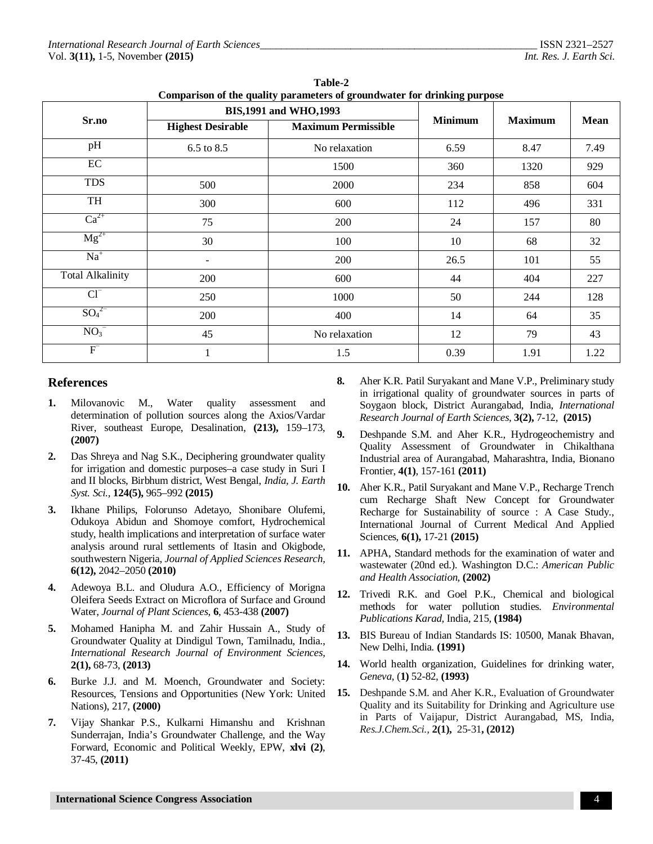| Comparison of the quality parameters of groundwater for urinking purpose |                          |                                |                |                |      |  |  |  |  |  |
|--------------------------------------------------------------------------|--------------------------|--------------------------------|----------------|----------------|------|--|--|--|--|--|
|                                                                          |                          | <b>BIS, 1991 and WHO, 1993</b> |                |                | Mean |  |  |  |  |  |
| Sr.no                                                                    | <b>Highest Desirable</b> | <b>Maximum Permissible</b>     | <b>Minimum</b> | <b>Maximum</b> |      |  |  |  |  |  |
| pH                                                                       | 6.5 to 8.5               | No relaxation                  | 6.59           | 8.47           | 7.49 |  |  |  |  |  |
| EC                                                                       |                          | 1500                           | 360            | 1320           | 929  |  |  |  |  |  |
| <b>TDS</b>                                                               | 500                      | 2000                           | 234            | 858            | 604  |  |  |  |  |  |
| TH                                                                       | 300                      | 600                            | 112            | 496            | 331  |  |  |  |  |  |
| $Ca^{2+}$                                                                | 75                       | 200                            | 24             | 157            | 80   |  |  |  |  |  |
| $Mg^{2+}$                                                                | 30                       | 100                            | 10             | 68             | 32   |  |  |  |  |  |
| $Na+$                                                                    | $\blacksquare$           | 200                            | 26.5           | 101            | 55   |  |  |  |  |  |
| <b>Total Alkalinity</b>                                                  | 200                      | 600                            | 44             | 404            | 227  |  |  |  |  |  |
| $Cl^{-}$                                                                 | 250                      | 1000                           | 50             | 244            | 128  |  |  |  |  |  |
| $SO_4^2$                                                                 | 200                      | 400                            | 14             | 64             | 35   |  |  |  |  |  |
| $NO3-$                                                                   | 45                       | No relaxation                  | 12             | 79             | 43   |  |  |  |  |  |
| $F^-$                                                                    |                          | 1.5                            | 0.39           | 1.91           | 1.22 |  |  |  |  |  |

**Table-2 Comparison of the quality parameters of groundwater for drinking purpose**

### **References**

- **1.** Milovanovic M., Water quality assessment and determination of pollution sources along the Axios/Vardar River, southeast Europe, Desalination, **(213),** 159–173, **(2007)**
- **2.** Das Shreya and Nag S.K., Deciphering groundwater quality for irrigation and domestic purposes–a case study in Suri I and II blocks, Birbhum district, West Bengal, *India, J. Earth Syst. Sci.,* **124(5),** 965–992 **(2015)**
- **3.** Ikhane Philips, Folorunso Adetayo, Shonibare Olufemi, Odukoya Abidun and Shomoye comfort, Hydrochemical study, health implications and interpretation of surface water analysis around rural settlements of Itasin and Okigbode, southwestern Nigeria, *Journal of Applied Sciences Research,* **6(12),** 2042–2050 **(2010)**
- **4.** Adewoya B.L. and Oludura A.O., Efficiency of Morigna Oleifera Seeds Extract on Microflora of Surface and Ground Water, *Journal of Plant Sciences,* **6**, 453-438 **(2007)**
- **5.** Mohamed Hanipha M. and Zahir Hussain A., Study of Groundwater Quality at Dindigul Town, Tamilnadu, India., *International Research Journal of Environment Sciences,* **2(1),** 68-73, **(2013)**
- **6.** Burke J.J. and M. Moench, Groundwater and Society: Resources, Tensions and Opportunities (New York: United Nations), 217, **(2000)**
- **7.** Vijay Shankar P.S., Kulkarni Himanshu and Krishnan Sunderrajan, India's Groundwater Challenge, and the Way Forward, Economic and Political Weekly, EPW, **xlvi (2)**, 37-45, **(2011)**
- **8.** Aher K.R. Patil Suryakant and Mane V.P., Preliminary study in irrigational quality of groundwater sources in parts of Soygaon block, District Aurangabad, India, *International Research Journal of Earth Sciences,* **3(2),** 7-12, **(2015)**
- **9.** Deshpande S.M. and Aher K.R., Hydrogeochemistry and Quality Assessment of Groundwater in Chikalthana Industrial area of Aurangabad, Maharashtra, India, Bionano Frontier, **4(1)**, 157-161 **(2011)**
- **10.** Aher K.R., Patil Suryakant and Mane V.P., Recharge Trench cum Recharge Shaft New Concept for Groundwater Recharge for Sustainability of source : A Case Study., International Journal of Current Medical And Applied Sciences, **6(1),** 17-21 **(2015)**
- **11.** APHA, Standard methods for the examination of water and wastewater (20nd ed.). Washington D.C.: *American Public and Health Association,* **(2002)**
- **12.** Trivedi R.K. and Goel P.K., Chemical and biological methods for water pollution studies. *Environmental Publications Karad,* India, 215*,* **(1984)**
- **13.** BIS Bureau of Indian Standards IS: 10500, Manak Bhavan, New Delhi, India*.* **(1991)**
- **14.** World health organization, Guidelines for drinking water, *Geneva,* (**1)** 52-82*,* **(1993)**
- **15.** Deshpande S.M. and Aher K.R., Evaluation of Groundwater Quality and its Suitability for Drinking and Agriculture use in Parts of Vaijapur, District Aurangabad, MS, India, *Res.J.Chem.Sci.,* **2(1),** 25-31**, (2012)**